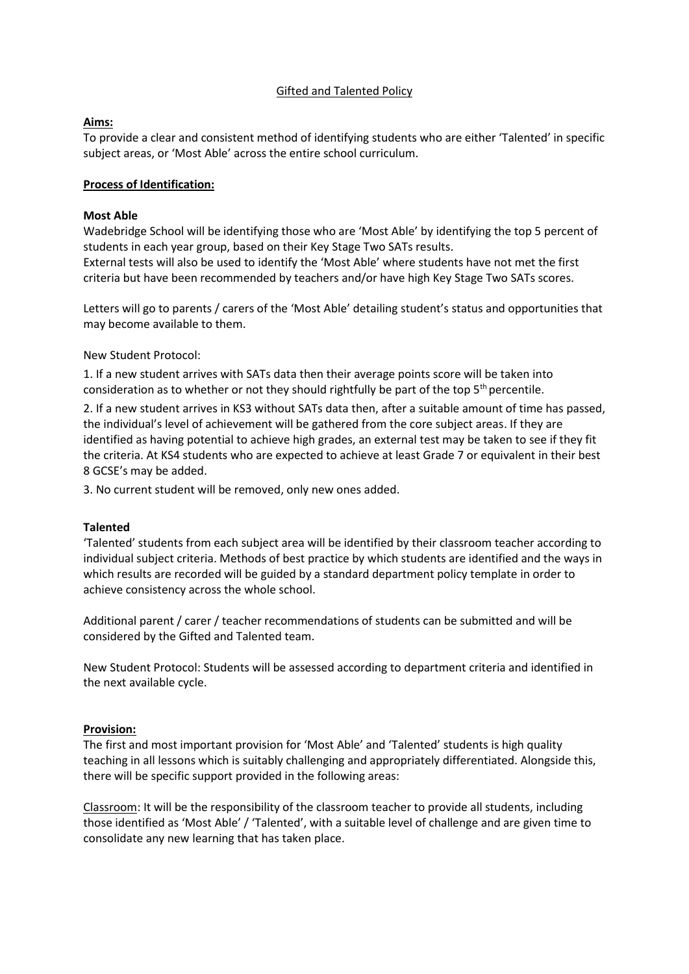# Gifted and Talented Policy

# **Aims:**

To provide a clear and consistent method of identifying students who are either 'Talented' in specific subject areas, or 'Most Able' across the entire school curriculum.

### **Process of Identification:**

### **Most Able**

Wadebridge School will be identifying those who are 'Most Able' by identifying the top 5 percent of students in each year group, based on their Key Stage Two SATs results. External tests will also be used to identify the 'Most Able' where students have not met the first criteria but have been recommended by teachers and/or have high Key Stage Two SATs scores.

Letters will go to parents / carers of the 'Most Able' detailing student's status and opportunities that may become available to them.

New Student Protocol:

1. If a new student arrives with SATs data then their average points score will be taken into consideration as to whether or not they should rightfully be part of the top  $5<sup>th</sup>$  percentile.

2. If a new student arrives in KS3 without SATs data then, after a suitable amount of time has passed, the individual's level of achievement will be gathered from the core subject areas. If they are identified as having potential to achieve high grades, an external test may be taken to see if they fit the criteria. At KS4 students who are expected to achieve at least Grade 7 or equivalent in their best 8 GCSE's may be added.

3. No current student will be removed, only new ones added.

# **Talented**

'Talented' students from each subject area will be identified by their classroom teacher according to individual subject criteria. Methods of best practice by which students are identified and the ways in which results are recorded will be guided by a standard department policy template in order to achieve consistency across the whole school.

Additional parent / carer / teacher recommendations of students can be submitted and will be considered by the Gifted and Talented team.

New Student Protocol: Students will be assessed according to department criteria and identified in the next available cycle.

#### **Provision:**

The first and most important provision for 'Most Able' and 'Talented' students is high quality teaching in all lessons which is suitably challenging and appropriately differentiated. Alongside this, there will be specific support provided in the following areas:

Classroom: It will be the responsibility of the classroom teacher to provide all students, including those identified as 'Most Able' / 'Talented', with a suitable level of challenge and are given time to consolidate any new learning that has taken place.